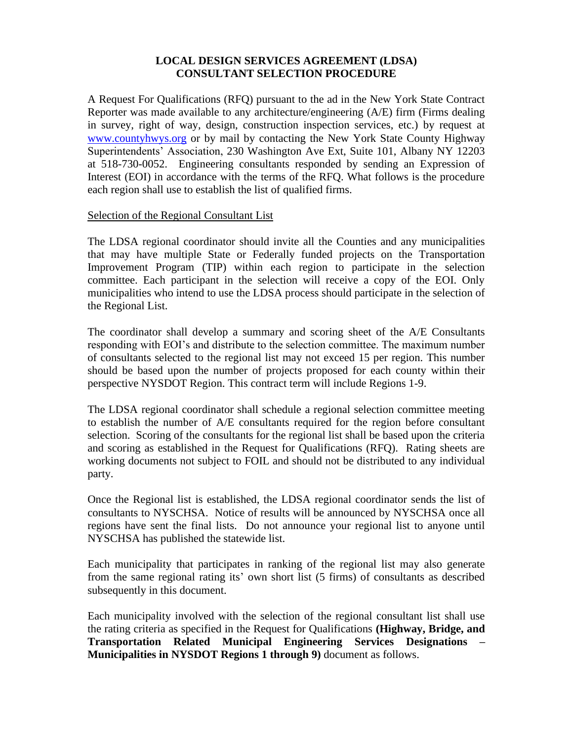#### **LOCAL DESIGN SERVICES AGREEMENT (LDSA) CONSULTANT SELECTION PROCEDURE**

A Request For Qualifications (RFQ) pursuant to the ad in the New York State Contract Reporter was made available to any architecture/engineering (A/E) firm (Firms dealing in survey, right of way, design, construction inspection services, etc.) by request at [www.countyhwys.org](http://www.countyhwys.org/) or by mail by contacting the New York State County Highway Superintendents' Association, 230 Washington Ave Ext, Suite 101, Albany NY 12203 at 518-730-0052. Engineering consultants responded by sending an Expression of Interest (EOI) in accordance with the terms of the RFO. What follows is the procedure each region shall use to establish the list of qualified firms.

#### Selection of the Regional Consultant List

The LDSA regional coordinator should invite all the Counties and any municipalities that may have multiple State or Federally funded projects on the Transportation Improvement Program (TIP) within each region to participate in the selection committee. Each participant in the selection will receive a copy of the EOI. Only municipalities who intend to use the LDSA process should participate in the selection of the Regional List.

The coordinator shall develop a summary and scoring sheet of the A/E Consultants responding with EOI's and distribute to the selection committee. The maximum number of consultants selected to the regional list may not exceed 15 per region. This number should be based upon the number of projects proposed for each county within their perspective NYSDOT Region. This contract term will include Regions 1-9.

The LDSA regional coordinator shall schedule a regional selection committee meeting to establish the number of A/E consultants required for the region before consultant selection. Scoring of the consultants for the regional list shall be based upon the criteria and scoring as established in the Request for Qualifications (RFQ). Rating sheets are working documents not subject to FOIL and should not be distributed to any individual party.

Once the Regional list is established, the LDSA regional coordinator sends the list of consultants to NYSCHSA. Notice of results will be announced by NYSCHSA once all regions have sent the final lists. Do not announce your regional list to anyone until NYSCHSA has published the statewide list.

Each municipality that participates in ranking of the regional list may also generate from the same regional rating its' own short list (5 firms) of consultants as described subsequently in this document.

Each municipality involved with the selection of the regional consultant list shall use the rating criteria as specified in the Request for Qualifications **(Highway, Bridge, and Transportation Related Municipal Engineering Services Designations – Municipalities in NYSDOT Regions 1 through 9)** document as follows.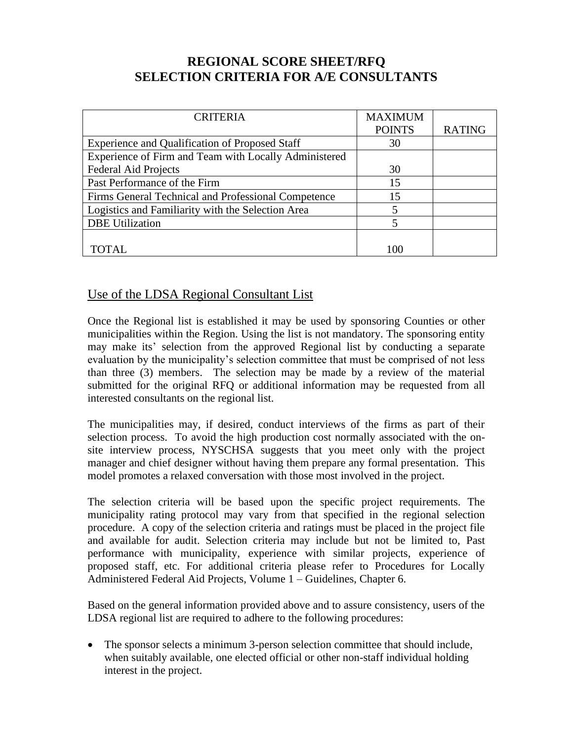# **REGIONAL SCORE SHEET/RFQ SELECTION CRITERIA FOR A/E CONSULTANTS**

| <b>CRITERIA</b>                                       | <b>MAXIMUM</b> |               |
|-------------------------------------------------------|----------------|---------------|
|                                                       | <b>POINTS</b>  | <b>RATING</b> |
| <b>Experience and Qualification of Proposed Staff</b> | 30             |               |
| Experience of Firm and Team with Locally Administered |                |               |
| <b>Federal Aid Projects</b>                           | 30             |               |
| Past Performance of the Firm                          | 15             |               |
| Firms General Technical and Professional Competence   | 15             |               |
| Logistics and Familiarity with the Selection Area     | 5              |               |
| <b>DBE</b> Utilization                                | 5              |               |
|                                                       |                |               |
| TOTAL                                                 |                |               |

## Use of the LDSA Regional Consultant List

Once the Regional list is established it may be used by sponsoring Counties or other municipalities within the Region. Using the list is not mandatory. The sponsoring entity may make its' selection from the approved Regional list by conducting a separate evaluation by the municipality's selection committee that must be comprised of not less than three (3) members. The selection may be made by a review of the material submitted for the original RFQ or additional information may be requested from all interested consultants on the regional list.

The municipalities may, if desired, conduct interviews of the firms as part of their selection process. To avoid the high production cost normally associated with the onsite interview process, NYSCHSA suggests that you meet only with the project manager and chief designer without having them prepare any formal presentation. This model promotes a relaxed conversation with those most involved in the project.

The selection criteria will be based upon the specific project requirements. The municipality rating protocol may vary from that specified in the regional selection procedure. A copy of the selection criteria and ratings must be placed in the project file and available for audit. Selection criteria may include but not be limited to, Past performance with municipality, experience with similar projects, experience of proposed staff, etc. For additional criteria please refer to Procedures for Locally Administered Federal Aid Projects, Volume 1 – Guidelines, Chapter 6.

Based on the general information provided above and to assure consistency, users of the LDSA regional list are required to adhere to the following procedures:

• The sponsor selects a minimum 3-person selection committee that should include, when suitably available, one elected official or other non-staff individual holding interest in the project.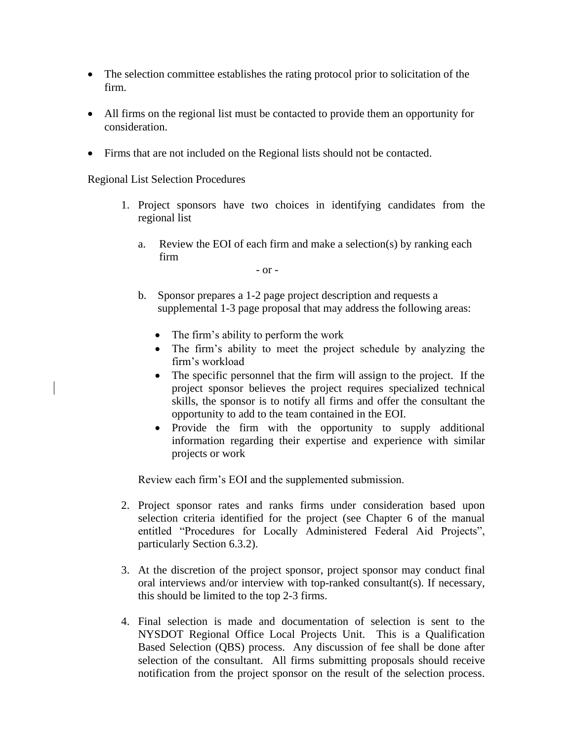- The selection committee establishes the rating protocol prior to solicitation of the firm.
- All firms on the regional list must be contacted to provide them an opportunity for consideration.
- Firms that are not included on the Regional lists should not be contacted.

Regional List Selection Procedures

- 1. Project sponsors have two choices in identifying candidates from the regional list
	- a. Review the EOI of each firm and make a selection(s) by ranking each firm

- or -

- b. Sponsor prepares a 1-2 page project description and requests a supplemental 1-3 page proposal that may address the following areas:
	- The firm's ability to perform the work
	- The firm's ability to meet the project schedule by analyzing the firm's workload
	- The specific personnel that the firm will assign to the project. If the project sponsor believes the project requires specialized technical skills, the sponsor is to notify all firms and offer the consultant the opportunity to add to the team contained in the EOI.
	- Provide the firm with the opportunity to supply additional information regarding their expertise and experience with similar projects or work

Review each firm's EOI and the supplemented submission.

- 2. Project sponsor rates and ranks firms under consideration based upon selection criteria identified for the project (see Chapter 6 of the manual entitled "Procedures for Locally Administered Federal Aid Projects", particularly Section 6.3.2).
- 3. At the discretion of the project sponsor, project sponsor may conduct final oral interviews and/or interview with top-ranked consultant(s). If necessary, this should be limited to the top 2-3 firms.
- 4. Final selection is made and documentation of selection is sent to the NYSDOT Regional Office Local Projects Unit. This is a Qualification Based Selection (QBS) process. Any discussion of fee shall be done after selection of the consultant. All firms submitting proposals should receive notification from the project sponsor on the result of the selection process.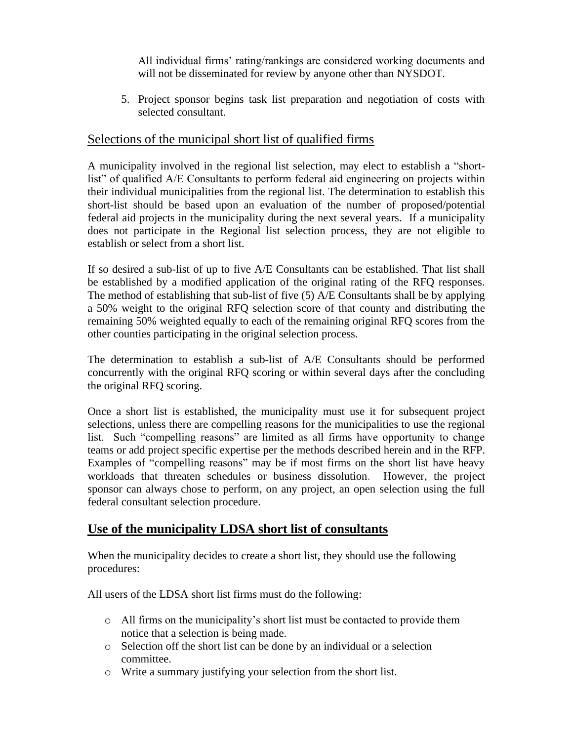All individual firms' rating/rankings are considered working documents and will not be disseminated for review by anyone other than NYSDOT.

5. Project sponsor begins task list preparation and negotiation of costs with selected consultant.

### Selections of the municipal short list of qualified firms

A municipality involved in the regional list selection, may elect to establish a "shortlist" of qualified A/E Consultants to perform federal aid engineering on projects within their individual municipalities from the regional list. The determination to establish this short-list should be based upon an evaluation of the number of proposed/potential federal aid projects in the municipality during the next several years. If a municipality does not participate in the Regional list selection process, they are not eligible to establish or select from a short list.

If so desired a sub-list of up to five A/E Consultants can be established. That list shall be established by a modified application of the original rating of the RFQ responses. The method of establishing that sub-list of five (5) A/E Consultants shall be by applying a 50% weight to the original RFQ selection score of that county and distributing the remaining 50% weighted equally to each of the remaining original RFQ scores from the other counties participating in the original selection process.

The determination to establish a sub-list of A/E Consultants should be performed concurrently with the original RFQ scoring or within several days after the concluding the original RFQ scoring.

Once a short list is established, the municipality must use it for subsequent project selections, unless there are compelling reasons for the municipalities to use the regional list. Such "compelling reasons" are limited as all firms have opportunity to change teams or add project specific expertise per the methods described herein and in the RFP. Examples of "compelling reasons" may be if most firms on the short list have heavy workloads that threaten schedules or business dissolution. However, the project sponsor can always chose to perform, on any project, an open selection using the full federal consultant selection procedure.

# **Use of the municipality LDSA short list of consultants**

When the municipality decides to create a short list, they should use the following procedures:

All users of the LDSA short list firms must do the following:

- o All firms on the municipality's short list must be contacted to provide them notice that a selection is being made.
- o Selection off the short list can be done by an individual or a selection committee.
- o Write a summary justifying your selection from the short list.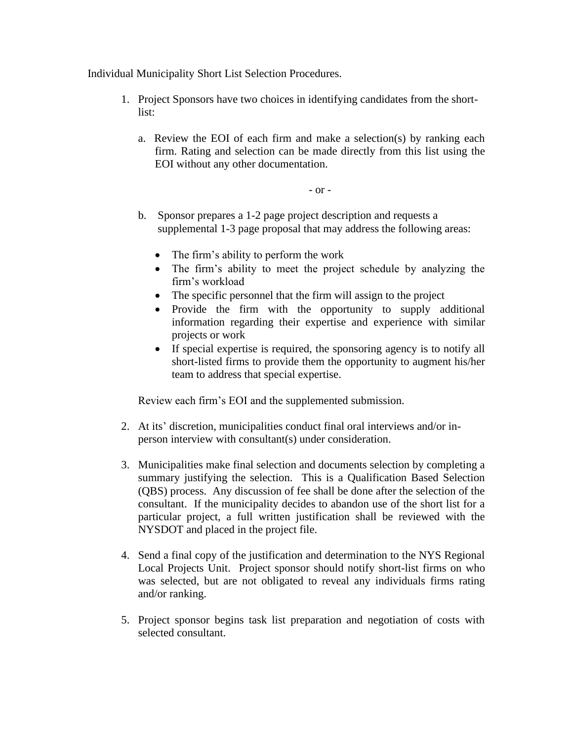Individual Municipality Short List Selection Procedures.

- 1. Project Sponsors have two choices in identifying candidates from the shortlist:
	- a. Review the EOI of each firm and make a selection(s) by ranking each firm. Rating and selection can be made directly from this list using the EOI without any other documentation.

- or -

- b. Sponsor prepares a 1-2 page project description and requests a supplemental 1-3 page proposal that may address the following areas:
	- The firm's ability to perform the work
	- The firm's ability to meet the project schedule by analyzing the firm's workload
	- The specific personnel that the firm will assign to the project
	- Provide the firm with the opportunity to supply additional information regarding their expertise and experience with similar projects or work
	- If special expertise is required, the sponsoring agency is to notify all short-listed firms to provide them the opportunity to augment his/her team to address that special expertise.

Review each firm's EOI and the supplemented submission.

- 2. At its' discretion, municipalities conduct final oral interviews and/or inperson interview with consultant(s) under consideration.
- 3. Municipalities make final selection and documents selection by completing a summary justifying the selection. This is a Qualification Based Selection (QBS) process. Any discussion of fee shall be done after the selection of the consultant. If the municipality decides to abandon use of the short list for a particular project, a full written justification shall be reviewed with the NYSDOT and placed in the project file.
- 4. Send a final copy of the justification and determination to the NYS Regional Local Projects Unit. Project sponsor should notify short-list firms on who was selected, but are not obligated to reveal any individuals firms rating and/or ranking.
- 5. Project sponsor begins task list preparation and negotiation of costs with selected consultant.